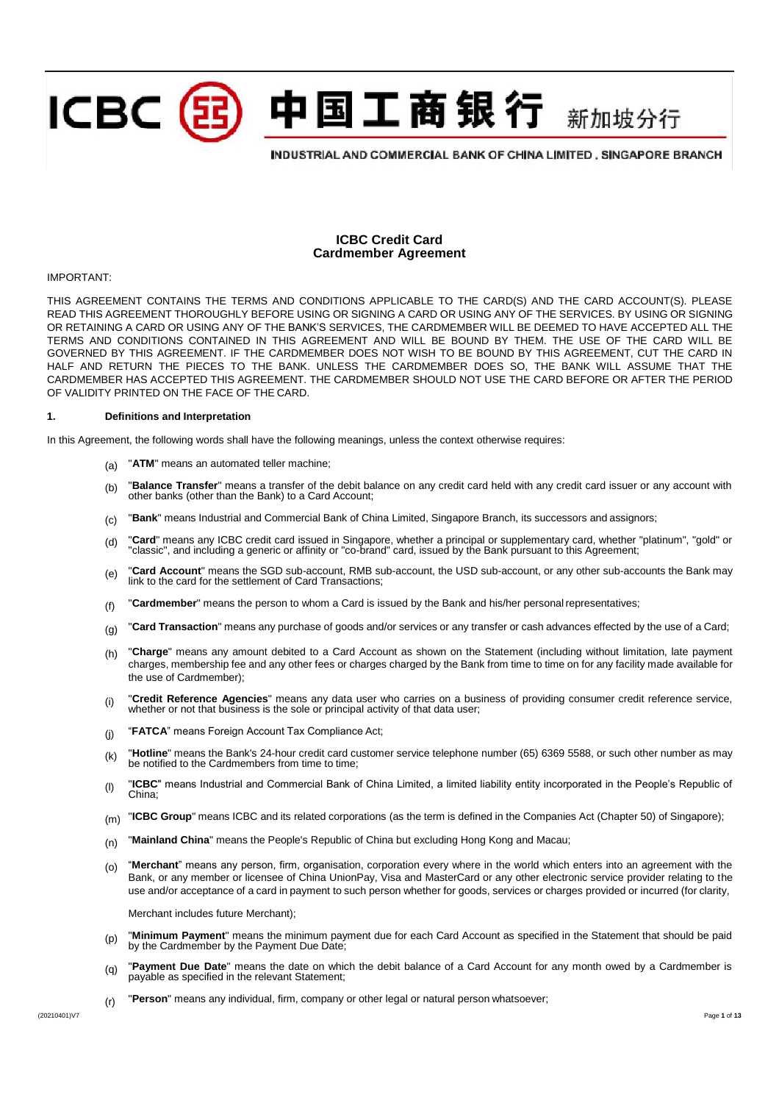中国工商银行 新加坡分行

# INDUSTRIAL AND COMMERCIAL BANK OF CHINA LIMITED, SINGAPORE BRANCH

# **ICBC Credit Card Cardmember Agreement**

#### IMPORTANT:

THIS AGREEMENT CONTAINS THE TERMS AND CONDITIONS APPLICABLE TO THE CARD(S) AND THE CARD ACCOUNT(S). PLEASE READ THIS AGREEMENT THOROUGHLY BEFORE USING OR SIGNING A CARD OR USING ANY OF THE SERVICES. BY USING OR SIGNING OR RETAINING A CARD OR USING ANY OF THE BANK'S SERVICES, THE CARDMEMBER WILL BE DEEMED TO HAVE ACCEPTED ALL THE TERMS AND CONDITIONS CONTAINED IN THIS AGREEMENT AND WILL BE BOUND BY THEM. THE USE OF THE CARD WILL BE GOVERNED BY THIS AGREEMENT. IF THE CARDMEMBER DOES NOT WISH TO BE BOUND BY THIS AGREEMENT, CUT THE CARD IN HALF AND RETURN THE PIECES TO THE BANK. UNLESS THE CARDMEMBER DOES SO, THE BANK WILL ASSUME THAT THE CARDMEMBER HAS ACCEPTED THIS AGREEMENT. THE CARDMEMBER SHOULD NOT USE THE CARD BEFORE OR AFTER THE PERIOD OF VALIDITY PRINTED ON THE FACE OF THE CARD.

### **1. Definitions and Interpretation**

ICBC (雷

In this Agreement, the following words shall have the following meanings, unless the context otherwise requires:

- (a) "**ATM**" means an automated teller machine;
- (b) "**Balance Transfer**" means a transfer of the debit balance on any credit card held with any credit card issuer or any account with other banks (other than the Bank) to a Card Account;
- (c) "**Bank**" means Industrial and Commercial Bank of China Limited, Singapore Branch, its successors and assignors;
- (d) "Card" means any ICBC credit card issued in Singapore, whether a principal or supplementary card, whether "platinum", "gold" or<br>"classic", and including a generic or affinity or "co-brand" card, issued by the Bank purs
- (e) **"Card Account**" means the SGD sub-account, RMB sub-account, the USD sub-account, or any other sub-accounts the Bank may link to the card for the settlement of Card Transactions;
- (f) "**Cardmember**" means the person to whom a Card is issued by the Bank and his/her personal representatives;
- (q) **"Card Transaction**" means any purchase of goods and/or services or any transfer or cash advances effected by the use of a Card;
- (h) **"Charge**" means any amount debited to a Card Account as shown on the Statement (including without limitation, late payment charges, membership fee and any other fees or charges charged by the Bank from time to time on for any facility made available for the use of Cardmember);
- (i) "**Credit Reference Agencies**" means any data user who carries on a business of providing consumer credit reference service, whether or not that business is the sole or principal activity of that data user;
- (j) "**FATCA**" means Foreign Account Tax Compliance Act;
- (k) "**Hotline**" means the Bank's 24-hour credit card customer service telephone number (65) 6369 5588, or such other number as may be notified to the Cardmembers from time to time;
- (l) "**ICBC**" means Industrial and Commercial Bank of China Limited, a limited liability entity incorporated in the People's Republic of China;
- (m) "ICBC Group" means ICBC and its related corporations (as the term is defined in the Companies Act (Chapter 50) of Singapore);
- (n) "**Mainland China**" means the People's Republic of China but excluding Hong Kong and Macau;
- (o) "**Merchant**" means any person, firm, organisation, corporation every where in the world which enters into an agreement with the Bank, or any member or licensee of China UnionPay, Visa and MasterCard or any other electronic service provider relating to the use and/or acceptance of a card in payment to such person whether for goods, services or charges provided or incurred (for clarity,

Merchant includes future Merchant);

- (p) "**Minimum Payment**" means the minimum payment due for each Card Account as specified in the Statement that should be paid by the Cardmember by the Payment Due Date;
- (q) **"Payment Due Date"** means the date on which the debit balance of a Card Account for any month owed by a Cardmember is payable as specified in the relevant Statement;
- (r) "**Person**" means any individual, firm, company or other legal or natural person whatsoever;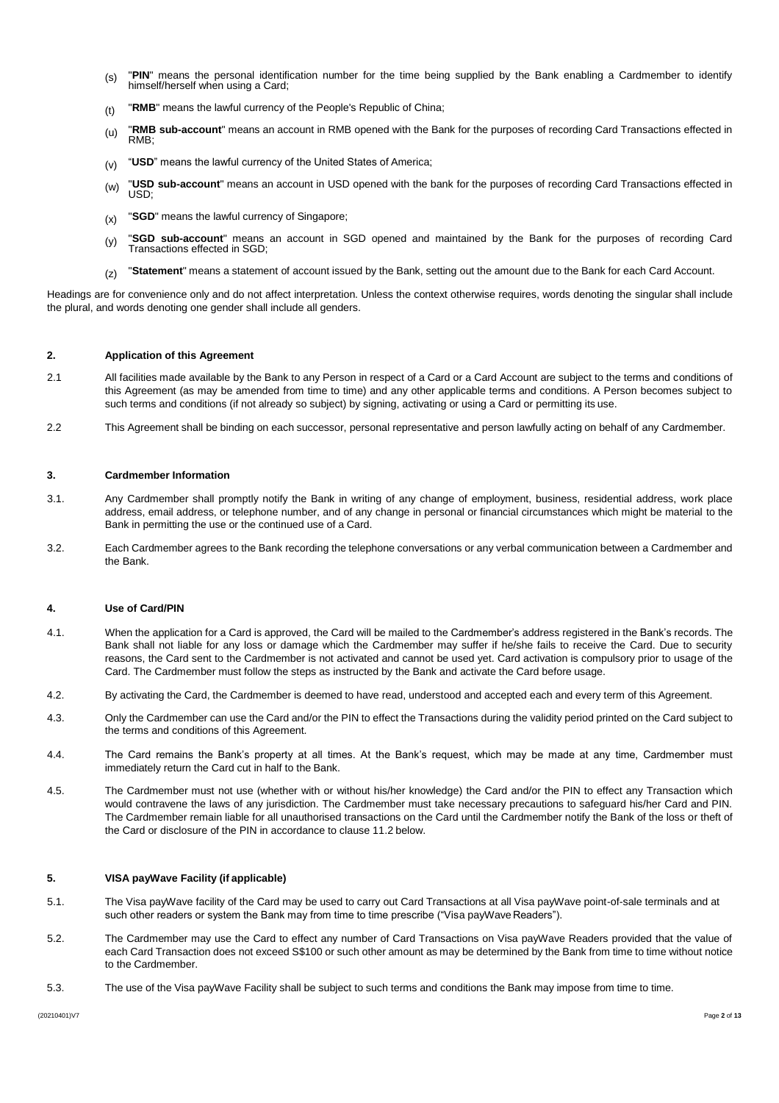- (s) "PIN" means the personal identification number for the time being supplied by the Bank enabling a Cardmember to identify himself/herself when using a Card;
- (t) "**RMB**" means the lawful currency of the People's Republic of China;
- (u) **"RMB sub-account**" means an account in RMB opened with the Bank for the purposes of recording Card Transactions effected in RMB;
- (v) "**USD**" means the lawful currency of the United States of America;
- (w) "USD sub-account" means an account in USD opened with the bank for the purposes of recording Card Transactions effected in USD;
- (x) **"SGD"** means the lawful currency of Singapore;
- (y) "**SGD sub-account**" means an account in SGD opened and maintained by the Bank for the purposes of recording Card Transactions effected in SGD;
- (z) "**Statement**" means a statement of account issued by the Bank, setting out the amount due to the Bank for each Card Account.

Headings are for convenience only and do not affect interpretation. Unless the context otherwise requires, words denoting the singular shall include the plural, and words denoting one gender shall include all genders.

### **2. Application of this Agreement**

- 2.1 All facilities made available by the Bank to any Person in respect of a Card or a Card Account are subject to the terms and conditions of this Agreement (as may be amended from time to time) and any other applicable terms and conditions. A Person becomes subject to such terms and conditions (if not already so subject) by signing, activating or using a Card or permitting its use.
- 2.2 This Agreement shall be binding on each successor, personal representative and person lawfully acting on behalf of any Cardmember.

#### **3. Cardmember Information**

- 3.1. Any Cardmember shall promptly notify the Bank in writing of any change of employment, business, residential address, work place address, email address, or telephone number, and of any change in personal or financial circumstances which might be material to the Bank in permitting the use or the continued use of a Card.
- 3.2. Each Cardmember agrees to the Bank recording the telephone conversations or any verbal communication between a Cardmember and the Bank.

### **4. Use of Card/PIN**

- 4.1. When the application for a Card is approved, the Card will be mailed to the Cardmember's address registered in the Bank's records. The Bank shall not liable for any loss or damage which the Cardmember may suffer if he/she fails to receive the Card. Due to security reasons, the Card sent to the Cardmember is not activated and cannot be used yet. Card activation is compulsory prior to usage of the Card. The Cardmember must follow the steps as instructed by the Bank and activate the Card before usage.
- 4.2. By activating the Card, the Cardmember is deemed to have read, understood and accepted each and every term of this Agreement.
- 4.3. Only the Cardmember can use the Card and/or the PIN to effect the Transactions during the validity period printed on the Card subject to the terms and conditions of this Agreement.
- 4.4. The Card remains the Bank's property at all times. At the Bank's request, which may be made at any time, Cardmember must immediately return the Card cut in half to the Bank.
- 4.5. The Cardmember must not use (whether with or without his/her knowledge) the Card and/or the PIN to effect any Transaction which would contravene the laws of any jurisdiction. The Cardmember must take necessary precautions to safeguard his/her Card and PIN. The Cardmember remain liable for all unauthorised transactions on the Card until the Cardmember notify the Bank of the loss or theft of the Card or disclosure of the PIN in accordance to clause 11.2 below.

#### **5. VISA payWave Facility (if applicable)**

- 5.1. The Visa payWave facility of the Card may be used to carry out Card Transactions at all Visa payWave point-of-sale terminals and at such other readers or system the Bank may from time to time prescribe ("Visa payWave Readers").
- 5.2. The Cardmember may use the Card to effect any number of Card Transactions on Visa payWave Readers provided that the value of each Card Transaction does not exceed S\$100 or such other amount as may be determined by the Bank from time to time without notice to the Cardmember.
- 5.3. The use of the Visa payWave Facility shall be subject to such terms and conditions the Bank may impose from time to time.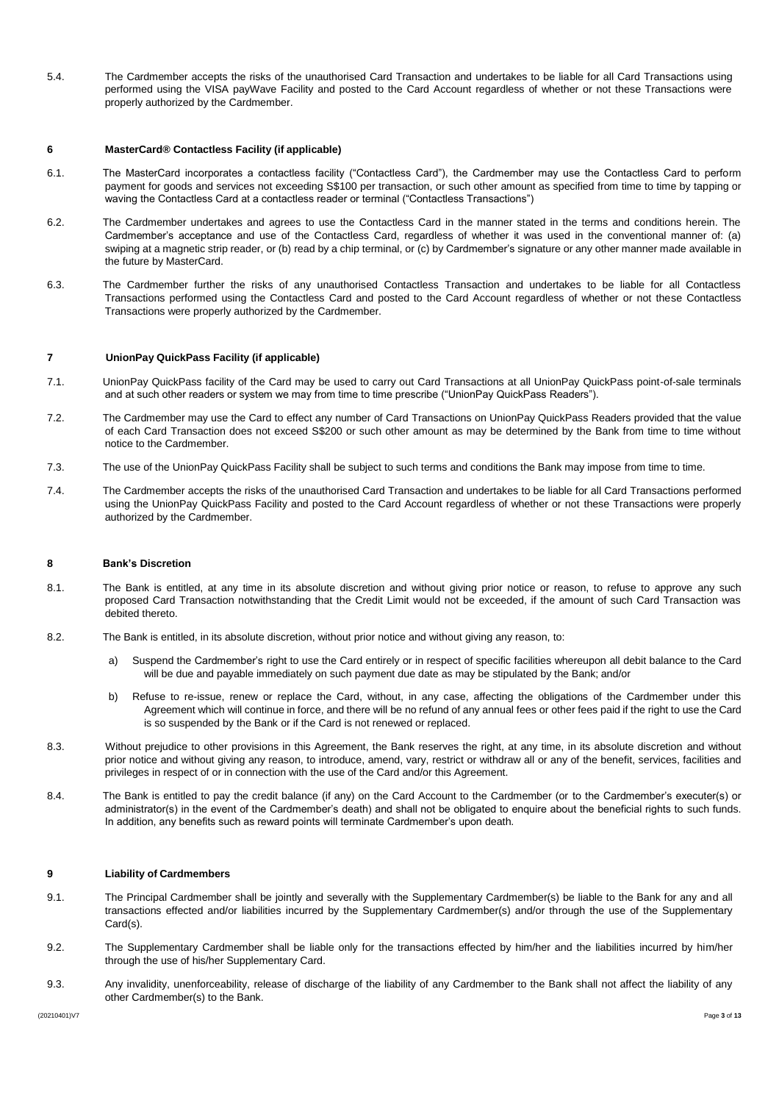5.4. The Cardmember accepts the risks of the unauthorised Card Transaction and undertakes to be liable for all Card Transactions using performed using the VISA payWave Facility and posted to the Card Account regardless of whether or not these Transactions were properly authorized by the Cardmember.

### **6 MasterCard® Contactless Facility (if applicable)**

- 6.1. The MasterCard incorporates a contactless facility ("Contactless Card"), the Cardmember may use the Contactless Card to perform payment for goods and services not exceeding S\$100 per transaction, or such other amount as specified from time to time by tapping or waving the Contactless Card at a contactless reader or terminal ("Contactless Transactions")
- 6.2. The Cardmember undertakes and agrees to use the Contactless Card in the manner stated in the terms and conditions herein. The Cardmember's acceptance and use of the Contactless Card, regardless of whether it was used in the conventional manner of: (a) swiping at a magnetic strip reader, or (b) read by a chip terminal, or (c) by Cardmember's signature or any other manner made available in the future by MasterCard.
- 6.3. The Cardmember further the risks of any unauthorised Contactless Transaction and undertakes to be liable for all Contactless Transactions performed using the Contactless Card and posted to the Card Account regardless of whether or not these Contactless Transactions were properly authorized by the Cardmember.

### **7 UnionPay QuickPass Facility (if applicable)**

- 7.1. UnionPay QuickPass facility of the Card may be used to carry out Card Transactions at all UnionPay QuickPass point-of-sale terminals and at such other readers or system we may from time to time prescribe ("UnionPay QuickPass Readers").
- 7.2. The Cardmember may use the Card to effect any number of Card Transactions on UnionPay QuickPass Readers provided that the value of each Card Transaction does not exceed S\$200 or such other amount as may be determined by the Bank from time to time without notice to the Cardmember.
- 7.3. The use of the UnionPay QuickPass Facility shall be subject to such terms and conditions the Bank may impose from time to time.
- 7.4. The Cardmember accepts the risks of the unauthorised Card Transaction and undertakes to be liable for all Card Transactions performed using the UnionPay QuickPass Facility and posted to the Card Account regardless of whether or not these Transactions were properly authorized by the Cardmember.

### **8 Bank's Discretion**

- 8.1. The Bank is entitled, at any time in its absolute discretion and without giving prior notice or reason, to refuse to approve any such proposed Card Transaction notwithstanding that the Credit Limit would not be exceeded, if the amount of such Card Transaction was debited thereto.
- 8.2. The Bank is entitled, in its absolute discretion, without prior notice and without giving any reason, to:
	- a) Suspend the Cardmember's right to use the Card entirely or in respect of specific facilities whereupon all debit balance to the Card will be due and payable immediately on such payment due date as may be stipulated by the Bank; and/or
	- b) Refuse to re-issue, renew or replace the Card, without, in any case, affecting the obligations of the Cardmember under this Agreement which will continue in force, and there will be no refund of any annual fees or other fees paid if the right to use the Card is so suspended by the Bank or if the Card is not renewed or replaced.
- 8.3. Without prejudice to other provisions in this Agreement, the Bank reserves the right, at any time, in its absolute discretion and without prior notice and without giving any reason, to introduce, amend, vary, restrict or withdraw all or any of the benefit, services, facilities and privileges in respect of or in connection with the use of the Card and/or this Agreement.
- 8.4. The Bank is entitled to pay the credit balance (if any) on the Card Account to the Cardmember (or to the Cardmember's executer(s) or administrator(s) in the event of the Cardmember's death) and shall not be obligated to enquire about the beneficial rights to such funds. In addition, any benefits such as reward points will terminate Cardmember's upon death.

# **9 Liability of Cardmembers**

- 9.1. The Principal Cardmember shall be jointly and severally with the Supplementary Cardmember(s) be liable to the Bank for any and all transactions effected and/or liabilities incurred by the Supplementary Cardmember(s) and/or through the use of the Supplementary Card(s).
- 9.2. The Supplementary Cardmember shall be liable only for the transactions effected by him/her and the liabilities incurred by him/her through the use of his/her Supplementary Card.
- 9.3. Any invalidity, unenforceability, release of discharge of the liability of any Cardmember to the Bank shall not affect the liability of any other Cardmember(s) to the Bank.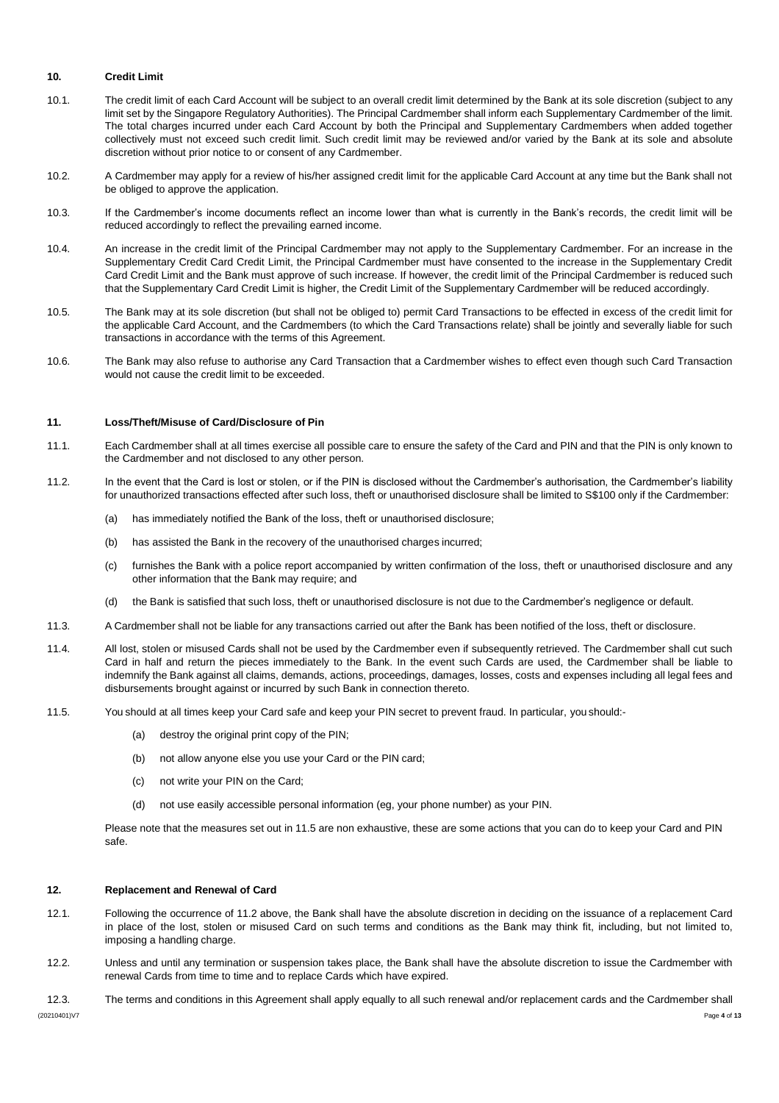# **10. Credit Limit**

- 10.1. The credit limit of each Card Account will be subject to an overall credit limit determined by the Bank at its sole discretion (subject to any limit set by the Singapore Regulatory Authorities). The Principal Cardmember shall inform each Supplementary Cardmember of the limit. The total charges incurred under each Card Account by both the Principal and Supplementary Cardmembers when added together collectively must not exceed such credit limit. Such credit limit may be reviewed and/or varied by the Bank at its sole and absolute discretion without prior notice to or consent of any Cardmember.
- 10.2. A Cardmember may apply for a review of his/her assigned credit limit for the applicable Card Account at any time but the Bank shall not be obliged to approve the application.
- 10.3. If the Cardmember's income documents reflect an income lower than what is currently in the Bank's records, the credit limit will be reduced accordingly to reflect the prevailing earned income.
- 10.4. An increase in the credit limit of the Principal Cardmember may not apply to the Supplementary Cardmember. For an increase in the Supplementary Credit Card Credit Limit, the Principal Cardmember must have consented to the increase in the Supplementary Credit Card Credit Limit and the Bank must approve of such increase. If however, the credit limit of the Principal Cardmember is reduced such that the Supplementary Card Credit Limit is higher, the Credit Limit of the Supplementary Cardmember will be reduced accordingly.
- 10.5. The Bank may at its sole discretion (but shall not be obliged to) permit Card Transactions to be effected in excess of the credit limit for the applicable Card Account, and the Cardmembers (to which the Card Transactions relate) shall be jointly and severally liable for such transactions in accordance with the terms of this Agreement.
- 10.6. The Bank may also refuse to authorise any Card Transaction that a Cardmember wishes to effect even though such Card Transaction would not cause the credit limit to be exceeded.

# **11. Loss/Theft/Misuse of Card/Disclosure of Pin**

- 11.1. Each Cardmember shall at all times exercise all possible care to ensure the safety of the Card and PIN and that the PIN is only known to the Cardmember and not disclosed to any other person.
- 11.2. In the event that the Card is lost or stolen, or if the PIN is disclosed without the Cardmember's authorisation, the Cardmember's liability for unauthorized transactions effected after such loss, theft or unauthorised disclosure shall be limited to S\$100 only if the Cardmember:
	- (a) has immediately notified the Bank of the loss, theft or unauthorised disclosure;
	- (b) has assisted the Bank in the recovery of the unauthorised charges incurred;
	- (c) furnishes the Bank with a police report accompanied by written confirmation of the loss, theft or unauthorised disclosure and any other information that the Bank may require; and
	- (d) the Bank is satisfied that such loss, theft or unauthorised disclosure is not due to the Cardmember's negligence or default.
- 11.3. A Cardmember shall not be liable for any transactions carried out after the Bank has been notified of the loss, theft or disclosure.
- 11.4. All lost, stolen or misused Cards shall not be used by the Cardmember even if subsequently retrieved. The Cardmember shall cut such Card in half and return the pieces immediately to the Bank. In the event such Cards are used, the Cardmember shall be liable to indemnify the Bank against all claims, demands, actions, proceedings, damages, losses, costs and expenses including all legal fees and disbursements brought against or incurred by such Bank in connection thereto.
- 11.5. You should at all times keep your Card safe and keep your PIN secret to prevent fraud. In particular, you should:-
	- (a) destroy the original print copy of the PIN;
	- (b) not allow anyone else you use your Card or the PIN card;
	- (c) not write your PIN on the Card;
	- (d) not use easily accessible personal information (eg, your phone number) as your PIN.

Please note that the measures set out in 11.5 are non exhaustive, these are some actions that you can do to keep your Card and PIN safe.

#### **12. Replacement and Renewal of Card**

- 12.1. Following the occurrence of 11.2 above, the Bank shall have the absolute discretion in deciding on the issuance of a replacement Card in place of the lost, stolen or misused Card on such terms and conditions as the Bank may think fit, including, but not limited to, imposing a handling charge.
- 12.2. Unless and until any termination or suspension takes place, the Bank shall have the absolute discretion to issue the Cardmember with renewal Cards from time to time and to replace Cards which have expired.
- (20210401)V7 Page **4** of **13** 12.3. The terms and conditions in this Agreement shall apply equally to all such renewal and/or replacement cards and the Cardmember shall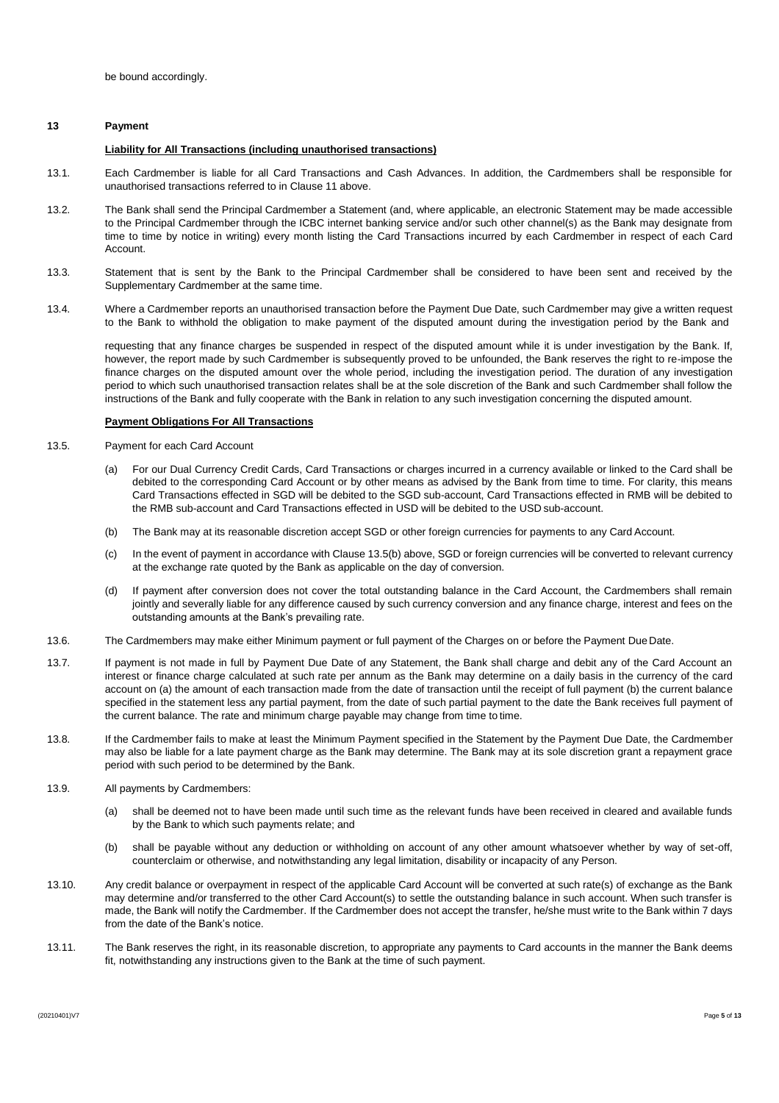### **13 Payment**

#### **Liability for All Transactions (including unauthorised transactions)**

- 13.1. Each Cardmember is liable for all Card Transactions and Cash Advances. In addition, the Cardmembers shall be responsible for unauthorised transactions referred to in Clause 11 above.
- 13.2. The Bank shall send the Principal Cardmember a Statement (and, where applicable, an electronic Statement may be made accessible to the Principal Cardmember through the ICBC internet banking service and/or such other channel(s) as the Bank may designate from time to time by notice in writing) every month listing the Card Transactions incurred by each Cardmember in respect of each Card Account.
- 13.3. Statement that is sent by the Bank to the Principal Cardmember shall be considered to have been sent and received by the Supplementary Cardmember at the same time.
- 13.4. Where a Cardmember reports an unauthorised transaction before the Payment Due Date, such Cardmember may give a written request to the Bank to withhold the obligation to make payment of the disputed amount during the investigation period by the Bank and

requesting that any finance charges be suspended in respect of the disputed amount while it is under investigation by the Bank. If, however, the report made by such Cardmember is subsequently proved to be unfounded, the Bank reserves the right to re-impose the finance charges on the disputed amount over the whole period, including the investigation period. The duration of any investigation period to which such unauthorised transaction relates shall be at the sole discretion of the Bank and such Cardmember shall follow the instructions of the Bank and fully cooperate with the Bank in relation to any such investigation concerning the disputed amount.

### **Payment Obligations For All Transactions**

- 13.5. Payment for each Card Account
	- (a) For our Dual Currency Credit Cards, Card Transactions or charges incurred in a currency available or linked to the Card shall be debited to the corresponding Card Account or by other means as advised by the Bank from time to time. For clarity, this means Card Transactions effected in SGD will be debited to the SGD sub-account, Card Transactions effected in RMB will be debited to the RMB sub-account and Card Transactions effected in USD will be debited to the USD sub-account.
	- (b) The Bank may at its reasonable discretion accept SGD or other foreign currencies for payments to any Card Account.
	- (c) In the event of payment in accordance with Clause 13.5(b) above, SGD or foreign currencies will be converted to relevant currency at the exchange rate quoted by the Bank as applicable on the day of conversion.
	- (d) If payment after conversion does not cover the total outstanding balance in the Card Account, the Cardmembers shall remain jointly and severally liable for any difference caused by such currency conversion and any finance charge, interest and fees on the outstanding amounts at the Bank's prevailing rate.
- 13.6. The Cardmembers may make either Minimum payment or full payment of the Charges on or before the Payment Due Date.
- 13.7. If payment is not made in full by Payment Due Date of any Statement, the Bank shall charge and debit any of the Card Account an interest or finance charge calculated at such rate per annum as the Bank may determine on a daily basis in the currency of the card account on (a) the amount of each transaction made from the date of transaction until the receipt of full payment (b) the current balance specified in the statement less any partial payment, from the date of such partial payment to the date the Bank receives full payment of the current balance. The rate and minimum charge payable may change from time to time.
- 13.8. If the Cardmember fails to make at least the Minimum Payment specified in the Statement by the Payment Due Date, the Cardmember may also be liable for a late payment charge as the Bank may determine. The Bank may at its sole discretion grant a repayment grace period with such period to be determined by the Bank.
- 13.9. All payments by Cardmembers:
	- (a) shall be deemed not to have been made until such time as the relevant funds have been received in cleared and available funds by the Bank to which such payments relate; and
	- (b) shall be payable without any deduction or withholding on account of any other amount whatsoever whether by way of set-off, counterclaim or otherwise, and notwithstanding any legal limitation, disability or incapacity of any Person.
- 13.10. Any credit balance or overpayment in respect of the applicable Card Account will be converted at such rate(s) of exchange as the Bank may determine and/or transferred to the other Card Account(s) to settle the outstanding balance in such account. When such transfer is made, the Bank will notify the Cardmember. If the Cardmember does not accept the transfer, he/she must write to the Bank within 7 days from the date of the Bank's notice.
- 13.11. The Bank reserves the right, in its reasonable discretion, to appropriate any payments to Card accounts in the manner the Bank deems fit, notwithstanding any instructions given to the Bank at the time of such payment.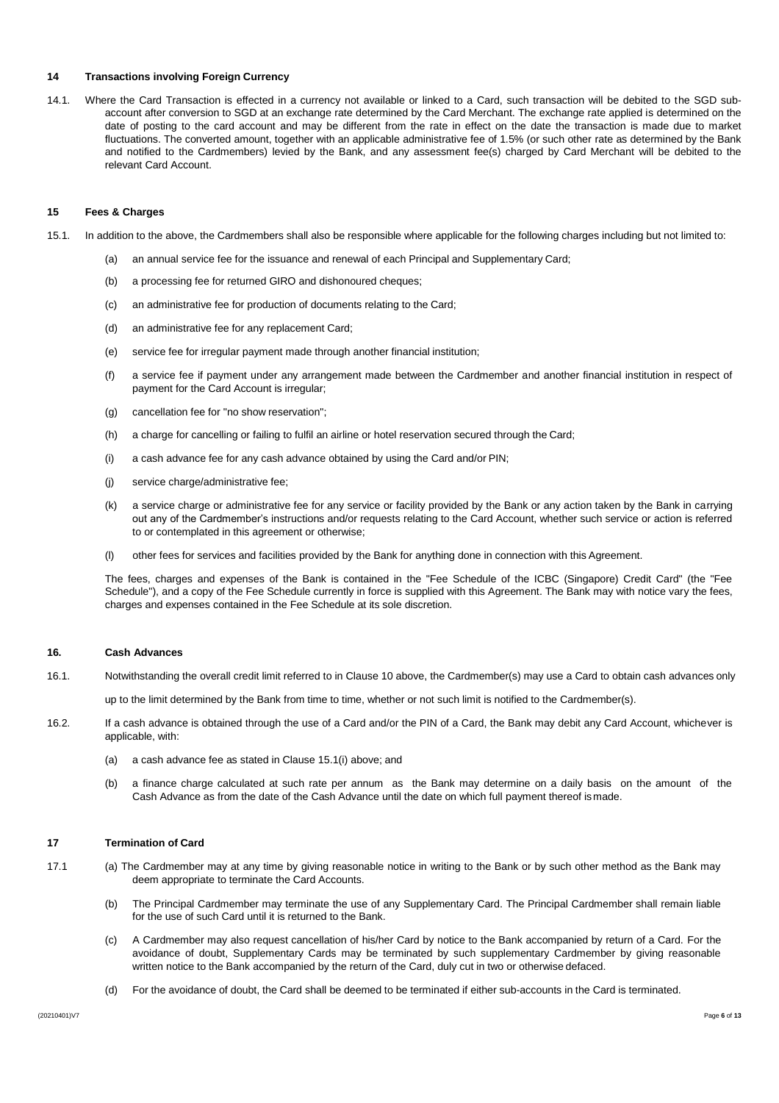# **14 Transactions involving Foreign Currency**

14.1. Where the Card Transaction is effected in a currency not available or linked to a Card, such transaction will be debited to the SGD subaccount after conversion to SGD at an exchange rate determined by the Card Merchant. The exchange rate applied is determined on the date of posting to the card account and may be different from the rate in effect on the date the transaction is made due to market fluctuations. The converted amount, together with an applicable administrative fee of 1.5% (or such other rate as determined by the Bank and notified to the Cardmembers) levied by the Bank, and any assessment fee(s) charged by Card Merchant will be debited to the relevant Card Account.

### **15 Fees & Charges**

- 15.1. In addition to the above, the Cardmembers shall also be responsible where applicable for the following charges including but not limited to:
	- (a) an annual service fee for the issuance and renewal of each Principal and Supplementary Card;
	- (b) a processing fee for returned GIRO and dishonoured cheques;
	- (c) an administrative fee for production of documents relating to the Card;
	- (d) an administrative fee for any replacement Card;
	- (e) service fee for irregular payment made through another financial institution;
	- (f) a service fee if payment under any arrangement made between the Cardmember and another financial institution in respect of payment for the Card Account is irregular;
	- (g) cancellation fee for "no show reservation";
	- (h) a charge for cancelling or failing to fulfil an airline or hotel reservation secured through the Card;
	- (i) a cash advance fee for any cash advance obtained by using the Card and/or PIN;
	- (j) service charge/administrative fee;
	- (k) a service charge or administrative fee for any service or facility provided by the Bank or any action taken by the Bank in carrying out any of the Cardmember's instructions and/or requests relating to the Card Account, whether such service or action is referred to or contemplated in this agreement or otherwise;
	- (l) other fees for services and facilities provided by the Bank for anything done in connection with this Agreement.

The fees, charges and expenses of the Bank is contained in the "Fee Schedule of the ICBC (Singapore) Credit Card" (the "Fee Schedule"), and a copy of the Fee Schedule currently in force is supplied with this Agreement. The Bank may with notice vary the fees, charges and expenses contained in the Fee Schedule at its sole discretion.

## **16. Cash Advances**

16.1. Notwithstanding the overall credit limit referred to in Clause 10 above, the Cardmember(s) may use a Card to obtain cash advances only

up to the limit determined by the Bank from time to time, whether or not such limit is notified to the Cardmember(s).

- 16.2. If a cash advance is obtained through the use of a Card and/or the PIN of a Card, the Bank may debit any Card Account, whichever is applicable, with:
	- (a) a cash advance fee as stated in Clause 15.1(i) above; and
	- (b) a finance charge calculated at such rate per annum as the Bank may determine on a daily basis on the amount of the Cash Advance as from the date of the Cash Advance until the date on which full payment thereof ismade.

# **17 Termination of Card**

- 17.1 (a) The Cardmember may at any time by giving reasonable notice in writing to the Bank or by such other method as the Bank may deem appropriate to terminate the Card Accounts.
	- (b) The Principal Cardmember may terminate the use of any Supplementary Card. The Principal Cardmember shall remain liable for the use of such Card until it is returned to the Bank.
	- (c) A Cardmember may also request cancellation of his/her Card by notice to the Bank accompanied by return of a Card. For the avoidance of doubt, Supplementary Cards may be terminated by such supplementary Cardmember by giving reasonable written notice to the Bank accompanied by the return of the Card, duly cut in two or otherwise defaced.
	- (d) For the avoidance of doubt, the Card shall be deemed to be terminated if either sub-accounts in the Card is terminated.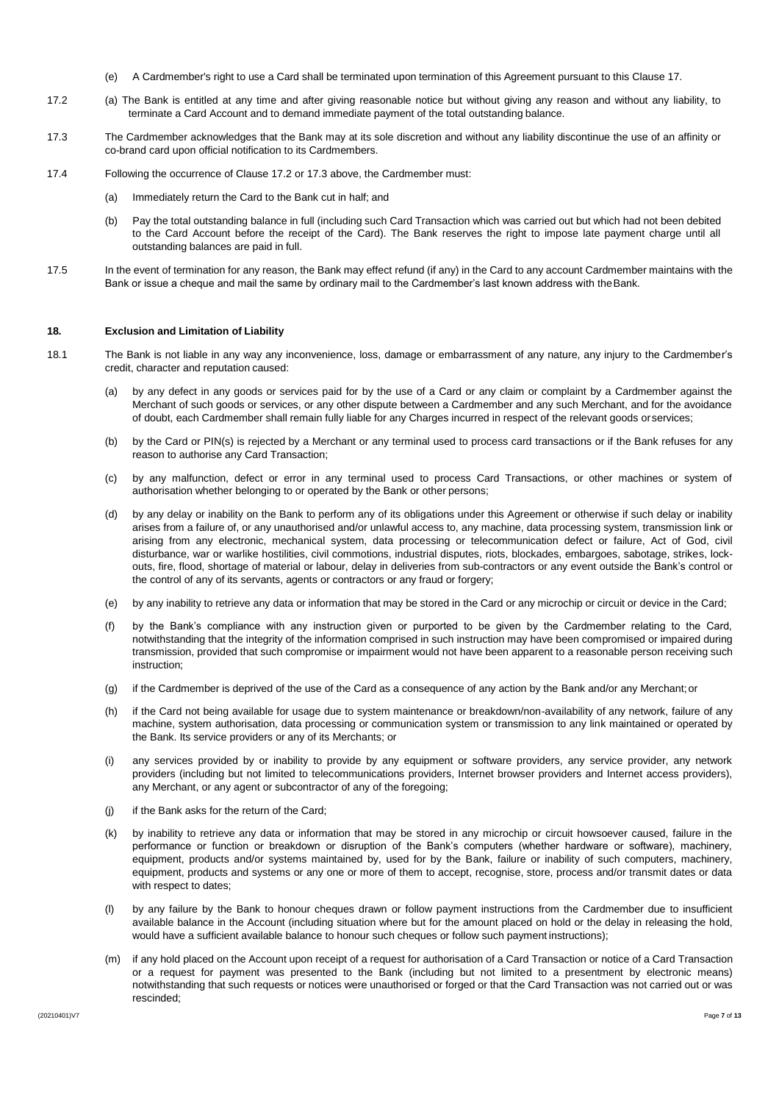- (e) A Cardmember's right to use a Card shall be terminated upon termination of this Agreement pursuant to this Clause 17.
- 17.2 (a) The Bank is entitled at any time and after giving reasonable notice but without giving any reason and without any liability, to terminate a Card Account and to demand immediate payment of the total outstanding balance.
- 17.3 The Cardmember acknowledges that the Bank may at its sole discretion and without any liability discontinue the use of an affinity or co-brand card upon official notification to its Cardmembers.
- 17.4 Following the occurrence of Clause 17.2 or 17.3 above, the Cardmember must:
	- (a) Immediately return the Card to the Bank cut in half; and
	- (b) Pay the total outstanding balance in full (including such Card Transaction which was carried out but which had not been debited to the Card Account before the receipt of the Card). The Bank reserves the right to impose late payment charge until all outstanding balances are paid in full.
- 17.5 In the event of termination for any reason, the Bank may effect refund (if any) in the Card to any account Cardmember maintains with the Bank or issue a cheque and mail the same by ordinary mail to the Cardmember's last known address with theBank.

#### **18. Exclusion and Limitation of Liability**

- 18.1 The Bank is not liable in any way any inconvenience, loss, damage or embarrassment of any nature, any injury to the Cardmember's credit, character and reputation caused:
	- (a) by any defect in any goods or services paid for by the use of a Card or any claim or complaint by a Cardmember against the Merchant of such goods or services, or any other dispute between a Cardmember and any such Merchant, and for the avoidance of doubt, each Cardmember shall remain fully liable for any Charges incurred in respect of the relevant goods orservices;
	- (b) by the Card or PIN(s) is rejected by a Merchant or any terminal used to process card transactions or if the Bank refuses for any reason to authorise any Card Transaction;
	- (c) by any malfunction, defect or error in any terminal used to process Card Transactions, or other machines or system of authorisation whether belonging to or operated by the Bank or other persons;
	- (d) by any delay or inability on the Bank to perform any of its obligations under this Agreement or otherwise if such delay or inability arises from a failure of, or any unauthorised and/or unlawful access to, any machine, data processing system, transmission link or arising from any electronic, mechanical system, data processing or telecommunication defect or failure, Act of God, civil disturbance, war or warlike hostilities, civil commotions, industrial disputes, riots, blockades, embargoes, sabotage, strikes, lockouts, fire, flood, shortage of material or labour, delay in deliveries from sub-contractors or any event outside the Bank's control or the control of any of its servants, agents or contractors or any fraud or forgery;
	- (e) by any inability to retrieve any data or information that may be stored in the Card or any microchip or circuit or device in the Card;
	- (f) by the Bank's compliance with any instruction given or purported to be given by the Cardmember relating to the Card, notwithstanding that the integrity of the information comprised in such instruction may have been compromised or impaired during transmission, provided that such compromise or impairment would not have been apparent to a reasonable person receiving such instruction;
	- (g) if the Cardmember is deprived of the use of the Card as a consequence of any action by the Bank and/or any Merchant;or
	- (h) if the Card not being available for usage due to system maintenance or breakdown/non-availability of any network, failure of any machine, system authorisation, data processing or communication system or transmission to any link maintained or operated by the Bank. Its service providers or any of its Merchants; or
	- (i) any services provided by or inability to provide by any equipment or software providers, any service provider, any network providers (including but not limited to telecommunications providers, Internet browser providers and Internet access providers), any Merchant, or any agent or subcontractor of any of the foregoing;
	- (j) if the Bank asks for the return of the Card;
	- (k) by inability to retrieve any data or information that may be stored in any microchip or circuit howsoever caused, failure in the performance or function or breakdown or disruption of the Bank's computers (whether hardware or software), machinery, equipment, products and/or systems maintained by, used for by the Bank, failure or inability of such computers, machinery, equipment, products and systems or any one or more of them to accept, recognise, store, process and/or transmit dates or data with respect to dates;
	- (l) by any failure by the Bank to honour cheques drawn or follow payment instructions from the Cardmember due to insufficient available balance in the Account (including situation where but for the amount placed on hold or the delay in releasing the hold, would have a sufficient available balance to honour such cheques or follow such payment instructions);
	- (m) if any hold placed on the Account upon receipt of a request for authorisation of a Card Transaction or notice of a Card Transaction or a request for payment was presented to the Bank (including but not limited to a presentment by electronic means) notwithstanding that such requests or notices were unauthorised or forged or that the Card Transaction was not carried out or was rescinded;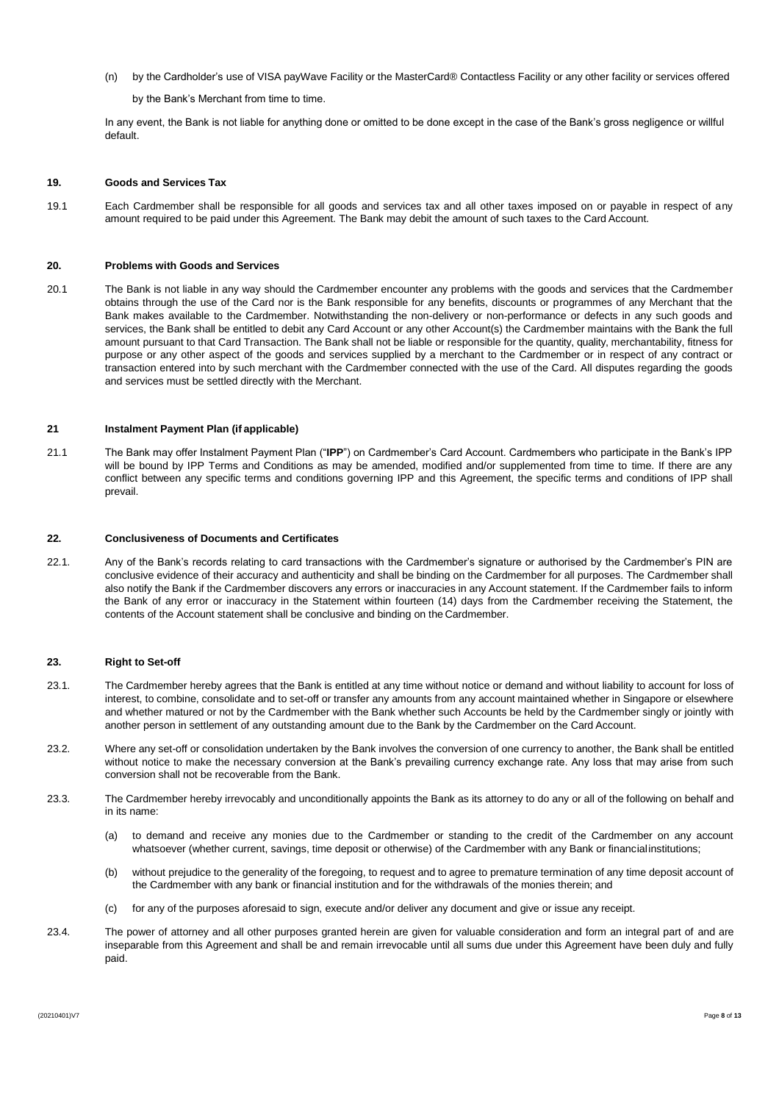(n) by the Cardholder's use of VISA payWave Facility or the MasterCard® Contactless Facility or any other facility or services offered

by the Bank's Merchant from time to time.

In any event, the Bank is not liable for anything done or omitted to be done except in the case of the Bank's gross negligence or willful default.

### **19. Goods and Services Tax**

19.1 Each Cardmember shall be responsible for all goods and services tax and all other taxes imposed on or payable in respect of any amount required to be paid under this Agreement. The Bank may debit the amount of such taxes to the Card Account.

# **20. Problems with Goods and Services**

20.1 The Bank is not liable in any way should the Cardmember encounter any problems with the goods and services that the Cardmember obtains through the use of the Card nor is the Bank responsible for any benefits, discounts or programmes of any Merchant that the Bank makes available to the Cardmember. Notwithstanding the non-delivery or non-performance or defects in any such goods and services, the Bank shall be entitled to debit any Card Account or any other Account(s) the Cardmember maintains with the Bank the full amount pursuant to that Card Transaction. The Bank shall not be liable or responsible for the quantity, quality, merchantability, fitness for purpose or any other aspect of the goods and services supplied by a merchant to the Cardmember or in respect of any contract or transaction entered into by such merchant with the Cardmember connected with the use of the Card. All disputes regarding the goods and services must be settled directly with the Merchant.

### **21 Instalment Payment Plan (if applicable)**

21.1 The Bank may offer Instalment Payment Plan ("**IPP**") on Cardmember's Card Account. Cardmembers who participate in the Bank's IPP will be bound by IPP Terms and Conditions as may be amended, modified and/or supplemented from time to time. If there are any conflict between any specific terms and conditions governing IPP and this Agreement, the specific terms and conditions of IPP shall prevail.

### **22. Conclusiveness of Documents and Certificates**

22.1. Any of the Bank's records relating to card transactions with the Cardmember's signature or authorised by the Cardmember's PIN are conclusive evidence of their accuracy and authenticity and shall be binding on the Cardmember for all purposes. The Cardmember shall also notify the Bank if the Cardmember discovers any errors or inaccuracies in any Account statement. If the Cardmember fails to inform the Bank of any error or inaccuracy in the Statement within fourteen (14) days from the Cardmember receiving the Statement, the contents of the Account statement shall be conclusive and binding on the Cardmember.

### **23. Right to Set-off**

- 23.1. The Cardmember hereby agrees that the Bank is entitled at any time without notice or demand and without liability to account for loss of interest, to combine, consolidate and to set-off or transfer any amounts from any account maintained whether in Singapore or elsewhere and whether matured or not by the Cardmember with the Bank whether such Accounts be held by the Cardmember singly or jointly with another person in settlement of any outstanding amount due to the Bank by the Cardmember on the Card Account.
- 23.2. Where any set-off or consolidation undertaken by the Bank involves the conversion of one currency to another, the Bank shall be entitled without notice to make the necessary conversion at the Bank's prevailing currency exchange rate. Any loss that may arise from such conversion shall not be recoverable from the Bank.
- 23.3. The Cardmember hereby irrevocably and unconditionally appoints the Bank as its attorney to do any or all of the following on behalf and in its name:
	- (a) to demand and receive any monies due to the Cardmember or standing to the credit of the Cardmember on any account whatsoever (whether current, savings, time deposit or otherwise) of the Cardmember with any Bank or financialinstitutions;
	- (b) without prejudice to the generality of the foregoing, to request and to agree to premature termination of any time deposit account of the Cardmember with any bank or financial institution and for the withdrawals of the monies therein; and
	- (c) for any of the purposes aforesaid to sign, execute and/or deliver any document and give or issue any receipt.
- 23.4. The power of attorney and all other purposes granted herein are given for valuable consideration and form an integral part of and are inseparable from this Agreement and shall be and remain irrevocable until all sums due under this Agreement have been duly and fully paid.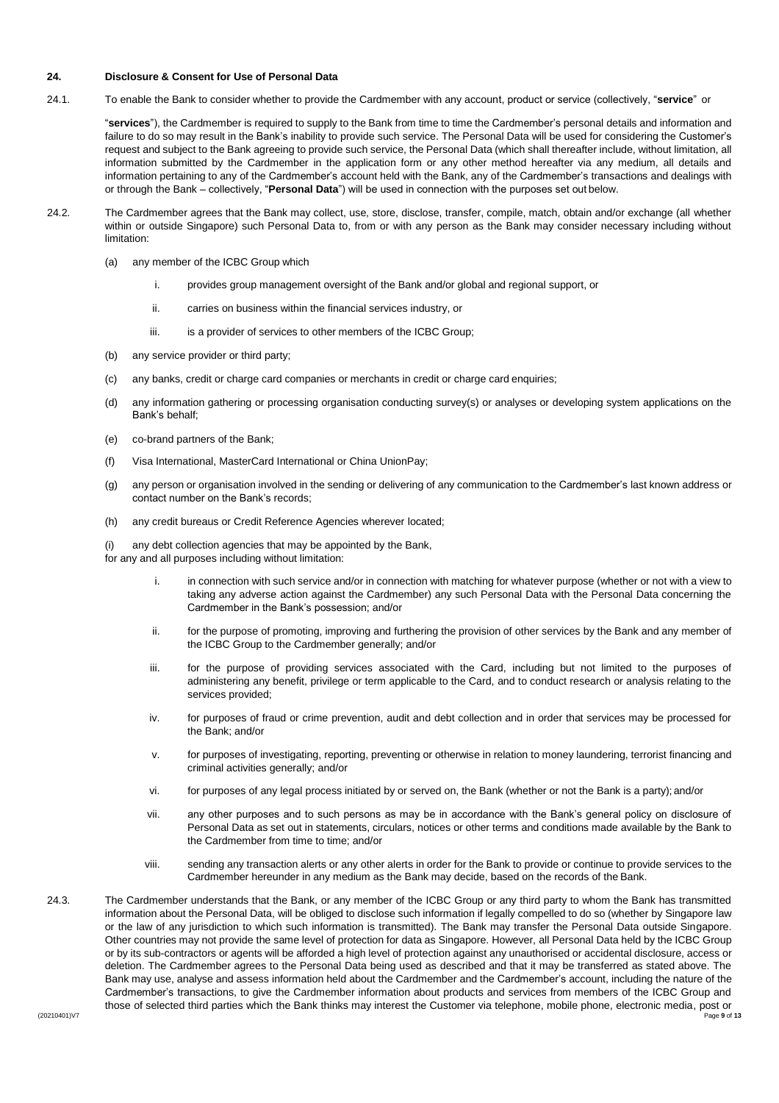# **24. Disclosure & Consent for Use of Personal Data**

24.1. To enable the Bank to consider whether to provide the Cardmember with any account, product or service (collectively, "**service**" or

"**services**"), the Cardmember is required to supply to the Bank from time to time the Cardmember's personal details and information and failure to do so may result in the Bank's inability to provide such service. The Personal Data will be used for considering the Customer's request and subject to the Bank agreeing to provide such service, the Personal Data (which shall thereafter include, without limitation, all information submitted by the Cardmember in the application form or any other method hereafter via any medium, all details and information pertaining to any of the Cardmember's account held with the Bank, any of the Cardmember's transactions and dealings with or through the Bank – collectively, "**Personal Data**") will be used in connection with the purposes set out below.

- 24.2. The Cardmember agrees that the Bank may collect, use, store, disclose, transfer, compile, match, obtain and/or exchange (all whether within or outside Singapore) such Personal Data to, from or with any person as the Bank may consider necessary including without limitation:
	- (a) any member of the ICBC Group which
		- i. provides group management oversight of the Bank and/or global and regional support, or
		- ii. carries on business within the financial services industry, or
		- iii. is a provider of services to other members of the ICBC Group;
	- (b) any service provider or third party;
	- (c) any banks, credit or charge card companies or merchants in credit or charge card enquiries;
	- (d) any information gathering or processing organisation conducting survey(s) or analyses or developing system applications on the Bank's behalf;
	- (e) co-brand partners of the Bank;
	- (f) Visa International, MasterCard International or China UnionPay;
	- (g) any person or organisation involved in the sending or delivering of any communication to the Cardmember's last known address or contact number on the Bank's records;
	- (h) any credit bureaus or Credit Reference Agencies wherever located;

(i) any debt collection agencies that may be appointed by the Bank,

for any and all purposes including without limitation:

- in connection with such service and/or in connection with matching for whatever purpose (whether or not with a view to taking any adverse action against the Cardmember) any such Personal Data with the Personal Data concerning the Cardmember in the Bank's possession; and/or
- ii. for the purpose of promoting, improving and furthering the provision of other services by the Bank and any member of the ICBC Group to the Cardmember generally; and/or
- iii. for the purpose of providing services associated with the Card, including but not limited to the purposes of administering any benefit, privilege or term applicable to the Card, and to conduct research or analysis relating to the services provided;
- iv. for purposes of fraud or crime prevention, audit and debt collection and in order that services may be processed for the Bank; and/or
- v. for purposes of investigating, reporting, preventing or otherwise in relation to money laundering, terrorist financing and criminal activities generally; and/or
- vi. for purposes of any legal process initiated by or served on, the Bank (whether or not the Bank is a party); and/or
- vii. any other purposes and to such persons as may be in accordance with the Bank's general policy on disclosure of Personal Data as set out in statements, circulars, notices or other terms and conditions made available by the Bank to the Cardmember from time to time; and/or
- viii. sending any transaction alerts or any other alerts in order for the Bank to provide or continue to provide services to the Cardmember hereunder in any medium as the Bank may decide, based on the records of the Bank.
- (20210401)V7 Page **9** of **13** 24.3. The Cardmember understands that the Bank, or any member of the ICBC Group or any third party to whom the Bank has transmitted information about the Personal Data, will be obliged to disclose such information if legally compelled to do so (whether by Singapore law or the law of any jurisdiction to which such information is transmitted). The Bank may transfer the Personal Data outside Singapore. Other countries may not provide the same level of protection for data as Singapore. However, all Personal Data held by the ICBC Group or by its sub-contractors or agents will be afforded a high level of protection against any unauthorised or accidental disclosure, access or deletion. The Cardmember agrees to the Personal Data being used as described and that it may be transferred as stated above. The Bank may use, analyse and assess information held about the Cardmember and the Cardmember's account, including the nature of the Cardmember's transactions, to give the Cardmember information about products and services from members of the ICBC Group and those of selected third parties which the Bank thinks may interest the Customer via telephone, mobile phone, electronic media, post or<br><sup>Page 9 of 13</sup>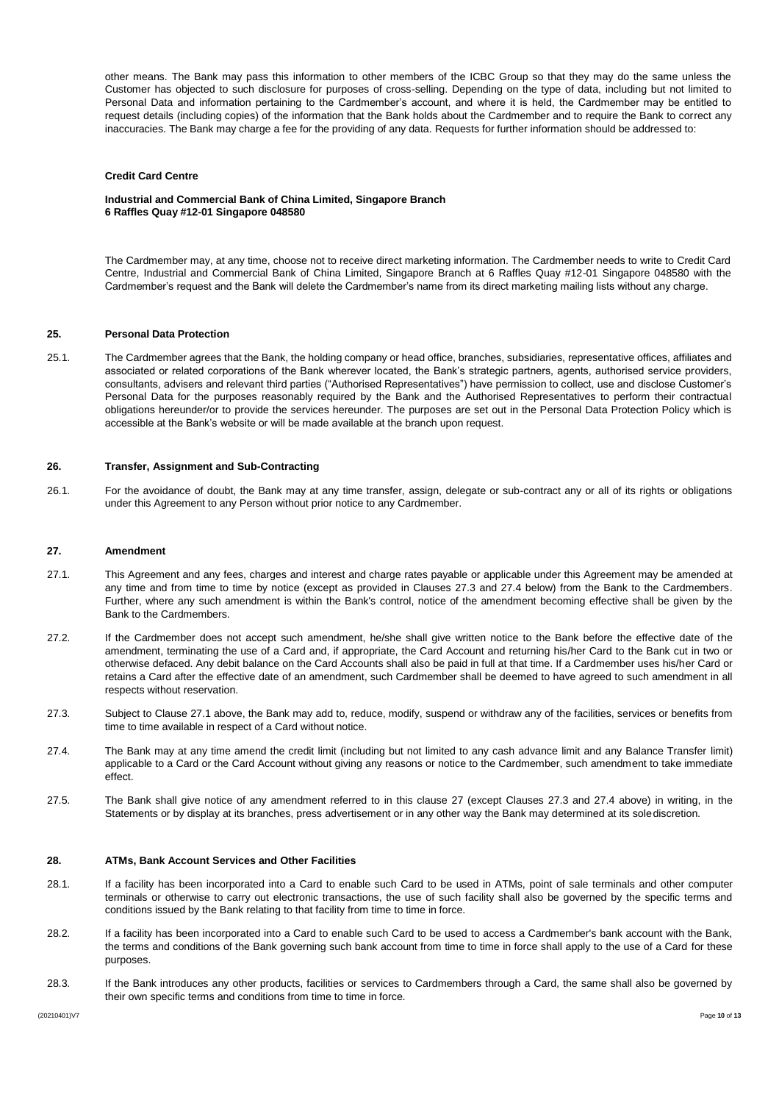other means. The Bank may pass this information to other members of the ICBC Group so that they may do the same unless the Customer has objected to such disclosure for purposes of cross-selling. Depending on the type of data, including but not limited to Personal Data and information pertaining to the Cardmember's account, and where it is held, the Cardmember may be entitled to request details (including copies) of the information that the Bank holds about the Cardmember and to require the Bank to correct any inaccuracies. The Bank may charge a fee for the providing of any data. Requests for further information should be addressed to:

#### **Credit Card Centre**

**Industrial and Commercial Bank of China Limited, Singapore Branch 6 Raffles Quay #12-01 Singapore 048580**

The Cardmember may, at any time, choose not to receive direct marketing information. The Cardmember needs to write to Credit Card Centre, Industrial and Commercial Bank of China Limited, Singapore Branch at 6 Raffles Quay #12-01 Singapore 048580 with the Cardmember's request and the Bank will delete the Cardmember's name from its direct marketing mailing lists without any charge.

#### **25. Personal Data Protection**

25.1. The Cardmember agrees that the Bank, the holding company or head office, branches, subsidiaries, representative offices, affiliates and associated or related corporations of the Bank wherever located, the Bank's strategic partners, agents, authorised service providers, consultants, advisers and relevant third parties ("Authorised Representatives") have permission to collect, use and disclose Customer's Personal Data for the purposes reasonably required by the Bank and the Authorised Representatives to perform their contractual obligations hereunder/or to provide the services hereunder. The purposes are set out in the Personal Data Protection Policy which is accessible at the Bank's website or will be made available at the branch upon request.

# **26. Transfer, Assignment and Sub-Contracting**

26.1. For the avoidance of doubt, the Bank may at any time transfer, assign, delegate or sub-contract any or all of its rights or obligations under this Agreement to any Person without prior notice to any Cardmember.

#### **27. Amendment**

- 27.1. This Agreement and any fees, charges and interest and charge rates payable or applicable under this Agreement may be amended at any time and from time to time by notice (except as provided in Clauses 27.3 and 27.4 below) from the Bank to the Cardmembers. Further, where any such amendment is within the Bank's control, notice of the amendment becoming effective shall be given by the Bank to the Cardmembers.
- 27.2. If the Cardmember does not accept such amendment, he/she shall give written notice to the Bank before the effective date of the amendment, terminating the use of a Card and, if appropriate, the Card Account and returning his/her Card to the Bank cut in two or otherwise defaced. Any debit balance on the Card Accounts shall also be paid in full at that time. If a Cardmember uses his/her Card or retains a Card after the effective date of an amendment, such Cardmember shall be deemed to have agreed to such amendment in all respects without reservation.
- 27.3. Subject to Clause 27.1 above, the Bank may add to, reduce, modify, suspend or withdraw any of the facilities, services or benefits from time to time available in respect of a Card without notice.
- 27.4. The Bank may at any time amend the credit limit (including but not limited to any cash advance limit and any Balance Transfer limit) applicable to a Card or the Card Account without giving any reasons or notice to the Cardmember, such amendment to take immediate effect.
- 27.5. The Bank shall give notice of any amendment referred to in this clause 27 (except Clauses 27.3 and 27.4 above) in writing, in the Statements or by display at its branches, press advertisement or in any other way the Bank may determined at its solediscretion.

#### **28. ATMs, Bank Account Services and Other Facilities**

- 28.1. If a facility has been incorporated into a Card to enable such Card to be used in ATMs, point of sale terminals and other computer terminals or otherwise to carry out electronic transactions, the use of such facility shall also be governed by the specific terms and conditions issued by the Bank relating to that facility from time to time in force.
- 28.2. If a facility has been incorporated into a Card to enable such Card to be used to access a Cardmember's bank account with the Bank, the terms and conditions of the Bank governing such bank account from time to time in force shall apply to the use of a Card for these purposes.
- 28.3. If the Bank introduces any other products, facilities or services to Cardmembers through a Card, the same shall also be governed by their own specific terms and conditions from time to time in force.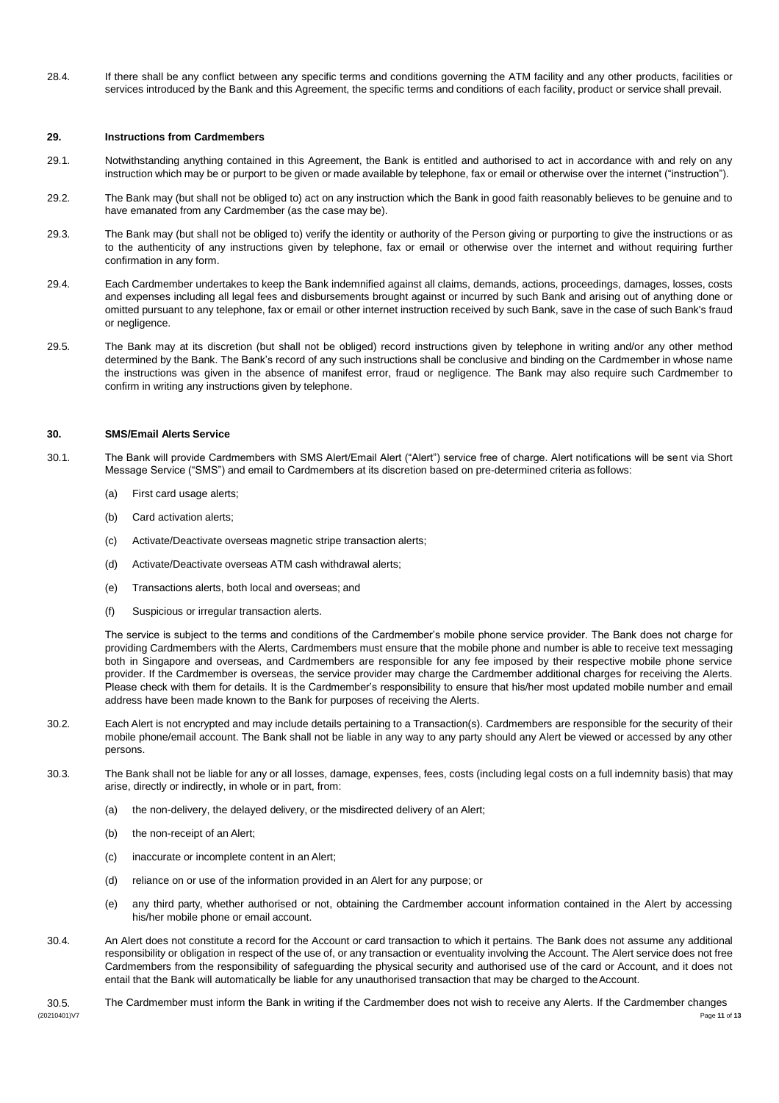28.4. If there shall be any conflict between any specific terms and conditions governing the ATM facility and any other products, facilities or services introduced by the Bank and this Agreement, the specific terms and conditions of each facility, product or service shall prevail.

### **29. Instructions from Cardmembers**

- 29.1. Notwithstanding anything contained in this Agreement, the Bank is entitled and authorised to act in accordance with and rely on any instruction which may be or purport to be given or made available by telephone, fax or email or otherwise over the internet ("instruction").
- 29.2. The Bank may (but shall not be obliged to) act on any instruction which the Bank in good faith reasonably believes to be genuine and to have emanated from any Cardmember (as the case may be).
- 29.3. The Bank may (but shall not be obliged to) verify the identity or authority of the Person giving or purporting to give the instructions or as to the authenticity of any instructions given by telephone, fax or email or otherwise over the internet and without requiring further confirmation in any form.
- 29.4. Each Cardmember undertakes to keep the Bank indemnified against all claims, demands, actions, proceedings, damages, losses, costs and expenses including all legal fees and disbursements brought against or incurred by such Bank and arising out of anything done or omitted pursuant to any telephone, fax or email or other internet instruction received by such Bank, save in the case of such Bank's fraud or negligence.
- 29.5. The Bank may at its discretion (but shall not be obliged) record instructions given by telephone in writing and/or any other method determined by the Bank. The Bank's record of any such instructions shall be conclusive and binding on the Cardmember in whose name the instructions was given in the absence of manifest error, fraud or negligence. The Bank may also require such Cardmember to confirm in writing any instructions given by telephone.

### **30. SMS/Email Alerts Service**

- 30.1. The Bank will provide Cardmembers with SMS Alert/Email Alert ("Alert") service free of charge. Alert notifications will be sent via Short Message Service ("SMS") and email to Cardmembers at its discretion based on pre-determined criteria as follows:
	- (a) First card usage alerts;
	- (b) Card activation alerts;
	- (c) Activate/Deactivate overseas magnetic stripe transaction alerts;
	- (d) Activate/Deactivate overseas ATM cash withdrawal alerts;
	- (e) Transactions alerts, both local and overseas; and
	- (f) Suspicious or irregular transaction alerts.

The service is subject to the terms and conditions of the Cardmember's mobile phone service provider. The Bank does not charge for providing Cardmembers with the Alerts, Cardmembers must ensure that the mobile phone and number is able to receive text messaging both in Singapore and overseas, and Cardmembers are responsible for any fee imposed by their respective mobile phone service provider. If the Cardmember is overseas, the service provider may charge the Cardmember additional charges for receiving the Alerts. Please check with them for details. It is the Cardmember's responsibility to ensure that his/her most updated mobile number and email address have been made known to the Bank for purposes of receiving the Alerts.

- 30.2. Each Alert is not encrypted and may include details pertaining to a Transaction(s). Cardmembers are responsible for the security of their mobile phone/email account. The Bank shall not be liable in any way to any party should any Alert be viewed or accessed by any other persons.
- 30.3. The Bank shall not be liable for any or all losses, damage, expenses, fees, costs (including legal costs on a full indemnity basis) that may arise, directly or indirectly, in whole or in part, from:
	- (a) the non-delivery, the delayed delivery, or the misdirected delivery of an Alert;
	- (b) the non-receipt of an Alert;
	- (c) inaccurate or incomplete content in an Alert;
	- (d) reliance on or use of the information provided in an Alert for any purpose; or
	- (e) any third party, whether authorised or not, obtaining the Cardmember account information contained in the Alert by accessing his/her mobile phone or email account.
- 30.4. An Alert does not constitute a record for the Account or card transaction to which it pertains. The Bank does not assume any additional responsibility or obligation in respect of the use of, or any transaction or eventuality involving the Account. The Alert service does not free Cardmembers from the responsibility of safeguarding the physical security and authorised use of the card or Account, and it does not entail that the Bank will automatically be liable for any unauthorised transaction that may be charged to the Account.
- (20210401)V7 Page **11** of **13** 30.5. The Cardmember must inform the Bank in writing if the Cardmember does not wish to receive any Alerts. If the Cardmember changes<br><sup>200210401 \rx</sup>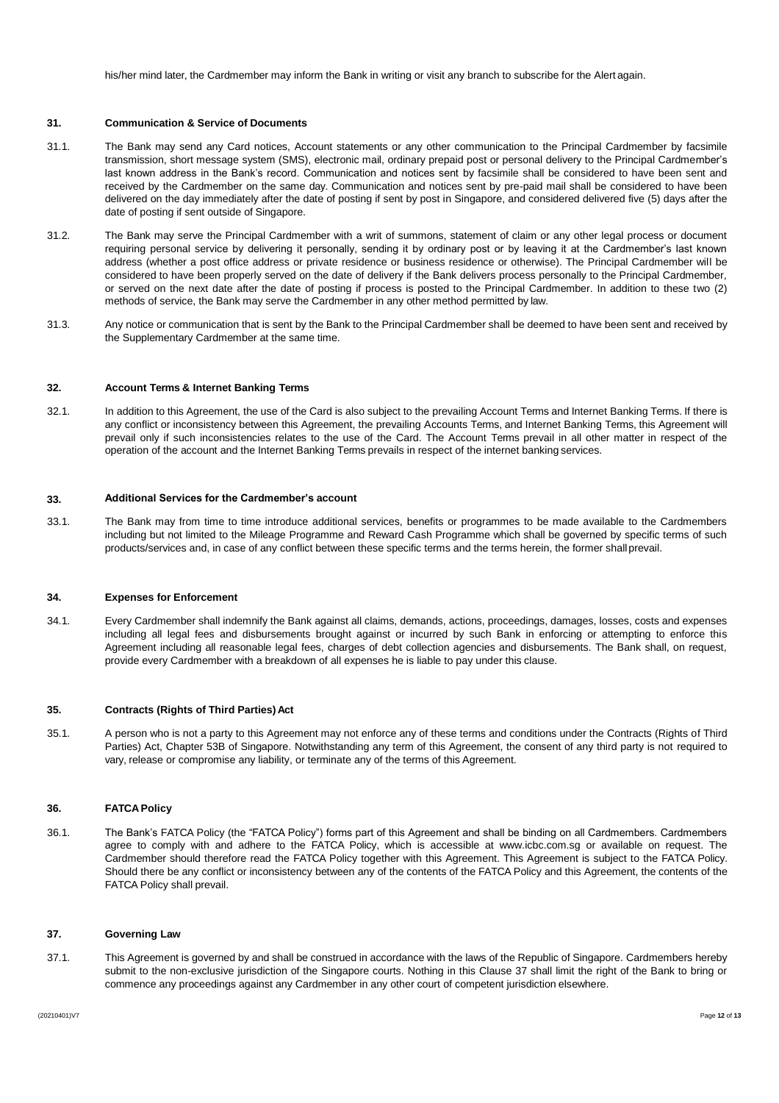his/her mind later, the Cardmember may inform the Bank in writing or visit any branch to subscribe for the Alert again.

# **31. Communication & Service of Documents**

- 31.1. The Bank may send any Card notices, Account statements or any other communication to the Principal Cardmember by facsimile transmission, short message system (SMS), electronic mail, ordinary prepaid post or personal delivery to the Principal Cardmember's last known address in the Bank's record. Communication and notices sent by facsimile shall be considered to have been sent and received by the Cardmember on the same day. Communication and notices sent by pre-paid mail shall be considered to have been delivered on the day immediately after the date of posting if sent by post in Singapore, and considered delivered five (5) days after the date of posting if sent outside of Singapore.
- 31.2. The Bank may serve the Principal Cardmember with a writ of summons, statement of claim or any other legal process or document requiring personal service by delivering it personally, sending it by ordinary post or by leaving it at the Cardmember's last known address (whether a post office address or private residence or business residence or otherwise). The Principal Cardmember will be considered to have been properly served on the date of delivery if the Bank delivers process personally to the Principal Cardmember, or served on the next date after the date of posting if process is posted to the Principal Cardmember. In addition to these two (2) methods of service, the Bank may serve the Cardmember in any other method permitted by law.
- 31.3. Any notice or communication that is sent by the Bank to the Principal Cardmember shall be deemed to have been sent and received by the Supplementary Cardmember at the same time.

# **32. Account Terms & Internet Banking Terms**

32.1. In addition to this Agreement, the use of the Card is also subject to the prevailing Account Terms and Internet Banking Terms. If there is any conflict or inconsistency between this Agreement, the prevailing Accounts Terms, and Internet Banking Terms, this Agreement will prevail only if such inconsistencies relates to the use of the Card. The Account Terms prevail in all other matter in respect of the operation of the account and the Internet Banking Terms prevails in respect of the internet banking services.

# **33. Additional Services for the Cardmember's account**

33.1. The Bank may from time to time introduce additional services, benefits or programmes to be made available to the Cardmembers including but not limited to the Mileage Programme and Reward Cash Programme which shall be governed by specific terms of such products/services and, in case of any conflict between these specific terms and the terms herein, the former shallprevail.

# **34. Expenses for Enforcement**

34.1. Every Cardmember shall indemnify the Bank against all claims, demands, actions, proceedings, damages, losses, costs and expenses including all legal fees and disbursements brought against or incurred by such Bank in enforcing or attempting to enforce this Agreement including all reasonable legal fees, charges of debt collection agencies and disbursements. The Bank shall, on request, provide every Cardmember with a breakdown of all expenses he is liable to pay under this clause.

# **35. Contracts (Rights of Third Parties) Act**

35.1. A person who is not a party to this Agreement may not enforce any of these terms and conditions under the Contracts (Rights of Third Parties) Act, Chapter 53B of Singapore. Notwithstanding any term of this Agreement, the consent of any third party is not required to vary, release or compromise any liability, or terminate any of the terms of this Agreement.

# **36. FATCAPolicy**

36.1. The Bank's FATCA Policy (the "FATCA Policy") forms part of this Agreement and shall be binding on all Cardmembers. Cardmembers agree to comply with and adhere to the FATCA Policy, which is accessible at [www.icbc.com.sg](http://www.icbc.com.sg/) or available on request. The Cardmember should therefore read the FATCA Policy together with this Agreement. This Agreement is subject to the FATCA Policy. Should there be any conflict or inconsistency between any of the contents of the FATCA Policy and this Agreement, the contents of the FATCA Policy shall prevail.

#### **37. Governing Law**

37.1. This Agreement is governed by and shall be construed in accordance with the laws of the Republic of Singapore. Cardmembers hereby submit to the non-exclusive jurisdiction of the Singapore courts. Nothing in this Clause 37 shall limit the right of the Bank to bring or commence any proceedings against any Cardmember in any other court of competent jurisdiction elsewhere.